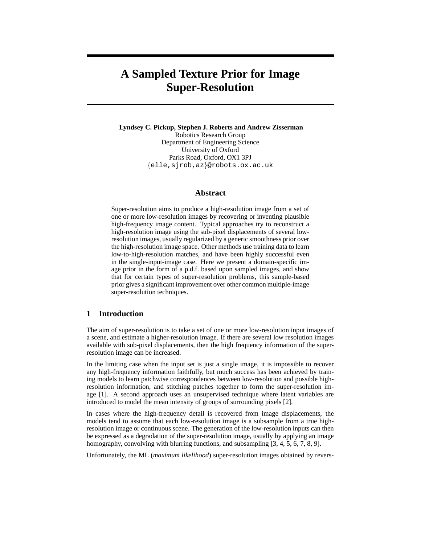# **A Sampled Texture Prior for Image Super-Resolution**

**Lyndsey C. Pickup, Stephen J. Roberts and Andrew Zisserman** Robotics Research Group Department of Engineering Science University of Oxford Parks Road, Oxford, OX1 3PJ {elle,sjrob,az}@robots.ox.ac.uk

### **Abstract**

Super-resolution aims to produce a high-resolution image from a set of one or more low-resolution images by recovering or inventing plausible high-frequency image content. Typical approaches try to reconstruct a high-resolution image using the sub-pixel displacements of several lowresolution images, usually regularized by a generic smoothness prior over the high-resolution image space. Other methods use training data to learn low-to-high-resolution matches, and have been highly successful even in the single-input-image case. Here we present a domain-specific image prior in the form of a p.d.f. based upon sampled images, and show that for certain types of super-resolution problems, this sample-based prior gives a significant improvement over other common multiple-image super-resolution techniques.

## **1 Introduction**

The aim of super-resolution is to take a set of one or more low-resolution input images of a scene, and estimate a higher-resolution image. If there are several low resolution images available with sub-pixel displacements, then the high frequency information of the superresolution image can be increased.

In the limiting case when the input set is just a single image, it is impossible to recover any high-frequency information faithfully, but much success has been achieved by training models to learn patchwise correspondences between low-resolution and possible highresolution information, and stitching patches together to form the super-resolution image [1]. A second approach uses an unsupervised technique where latent variables are introduced to model the mean intensity of groups of surrounding pixels [2].

In cases where the high-frequency detail is recovered from image displacements, the models tend to assume that each low-resolution image is a subsample from a true highresolution image or continuous scene. The generation of the low-resolution inputs can then be expressed as a degradation of the super-resolution image, usually by applying an image homography, convolving with blurring functions, and subsampling [3, 4, 5, 6, 7, 8, 9].

Unfortunately, the ML (*maximum likelihood*) super-resolution images obtained by revers-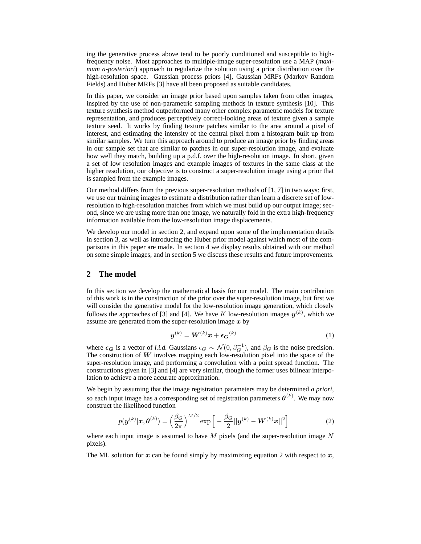ing the generative process above tend to be poorly conditioned and susceptible to highfrequency noise. Most approaches to multiple-image super-resolution use a MAP (*maximum a-posteriori*) approach to regularize the solution using a prior distribution over the high-resolution space. Gaussian process priors [4], Gaussian MRFs (Markov Random Fields) and Huber MRFs [3] have all been proposed as suitable candidates.

In this paper, we consider an image prior based upon samples taken from other images, inspired by the use of non-parametric sampling methods in texture synthesis [10]. This texture synthesis method outperformed many other complex parametric models for texture representation, and produces perceptively correct-looking areas of texture given a sample texture seed. It works by finding texture patches similar to the area around a pixel of interest, and estimating the intensity of the central pixel from a histogram built up from similar samples. We turn this approach around to produce an image prior by finding areas in our sample set that are similar to patches in our super-resolution image, and evaluate how well they match, building up a p.d.f. over the high-resolution image. In short, given a set of low resolution images and example images of textures in the same class at the higher resolution, our objective is to construct a super-resolution image using a prior that is sampled from the example images.

Our method differs from the previous super-resolution methods of [1, 7] in two ways: first, we use our training images to estimate a distribution rather than learn a discrete set of lowresolution to high-resolution matches from which we must build up our output image; second, since we are using more than one image, we naturally fold in the extra high-frequency information available from the low-resolution image displacements.

We develop our model in section 2, and expand upon some of the implementation details in section 3, as well as introducing the Huber prior model against which most of the comparisons in this paper are made. In section 4 we display results obtained with our method on some simple images, and in section 5 we discuss these results and future improvements.

#### **2 The model**

In this section we develop the mathematical basis for our model. The main contribution of this work is in the construction of the prior over the super-resolution image, but first we will consider the generative model for the low-resolution image generation, which closely follows the approaches of [3] and [4]. We have K low-resolution images  $y^{(k)}$ , which we assume are generated from the super-resolution image  $x$  by

$$
\boldsymbol{y}^{(k)} = \boldsymbol{W}^{(k)} \boldsymbol{x} + \epsilon_{\boldsymbol{G}}^{(k)} \tag{1}
$$

where  $\epsilon_G$  is a vector of *i.i.d.* Gaussians  $\epsilon_G \sim \mathcal{N}(0, \beta_G^{-1})$ , and  $\beta_G$  is the noise precision. The construction of  $W$  involves mapping each low-resolution pixel into the space of the super-resolution image, and performing a convolution with a point spread function. The constructions given in [3] and [4] are very similar, though the former uses bilinear interpolation to achieve a more accurate approximation.

We begin by assuming that the image registration parameters may be determined *a priori*, so each input image has a corresponding set of registration parameters  $\theta^{(k)}$ . We may now construct the likelihood function

$$
p(\boldsymbol{y}^{(k)}|\boldsymbol{x},\boldsymbol{\theta}^{(k)}) = \left(\frac{\beta_G}{2\pi}\right)^{M/2} \exp\left[-\frac{\beta_G}{2}||\boldsymbol{y}^{(k)} - \boldsymbol{W}^{(k)}\boldsymbol{x}||^2\right]
$$
(2)

where each input image is assumed to have  $M$  pixels (and the super-resolution image  $N$ pixels).

The ML solution for x can be found simply by maximizing equation 2 with respect to  $x$ ,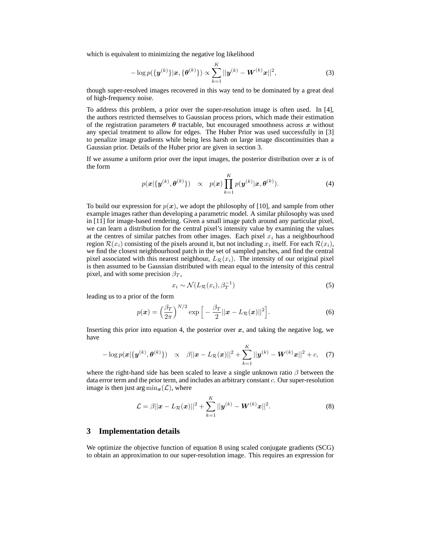which is equivalent to minimizing the negative log likelihood

$$
-\log p(\{\bm{y}^{(k)}\}|\bm{x},\{\bm{\theta}^{(k)}\}) \propto \sum_{k=1}^{K} ||\bm{y}^{(k)} - \bm{W}^{(k)}\bm{x}||^2, \tag{3}
$$

though super-resolved images recovered in this way tend to be dominated by a great deal of high-frequency noise.

To address this problem, a prior over the super-resolution image is often used. In [4], the authors restricted themselves to Gaussian process priors, which made their estimation of the registration parameters  $\theta$  tractable, but encouraged smoothness across x without any special treatment to allow for edges. The Huber Prior was used successfully in [3] to penalize image gradients while being less harsh on large image discontinuities than a Gaussian prior. Details of the Huber prior are given in section 3.

If we assume a uniform prior over the input images, the posterior distribution over  $x$  is of the form

$$
p(\mathbf{x}|\{\mathbf{y}^{(k)},\boldsymbol{\theta}^{(k)}\}) \propto p(\mathbf{x}) \prod_{k=1}^{K} p(\mathbf{y}^{(k)}|\mathbf{x},\boldsymbol{\theta}^{(k)}).
$$
 (4)

To build our expression for  $p(x)$ , we adopt the philosophy of [10], and sample from other example images rather than developing a parametric model. A similar philosophy was used in [11] for image-based rendering. Given a small image patch around any particular pixel, we can learn a distribution for the central pixel's intensity value by examining the values at the centres of similar patches from other images. Each pixel  $x_i$  has a neighbourhood region  $\mathcal{R}(x_i)$  consisting of the pixels around it, but not including  $x_i$  itself. For each  $\mathcal{R}(x_i),$ we find the closest neighbourhood patch in the set of sampled patches, and find the central pixel associated with this nearest neighbour,  $L_{\mathcal{R}}(x_i)$ . The intensity of our original pixel is then assumed to be Gaussian distributed with mean equal to the intensity of this central pixel, and with some precision  $\beta_T$ ,

$$
x_i \sim \mathcal{N}(L_{\mathcal{R}}(x_i), \beta_T^{-1})
$$
 (5)

leading us to a prior of the form

$$
p(\boldsymbol{x}) = \left(\frac{\beta_T}{2\pi}\right)^{N/2} \exp\left[-\frac{\beta_T}{2}||\boldsymbol{x} - L_{\mathcal{R}}(\boldsymbol{x})||^2\right].
$$
 (6)

Inserting this prior into equation 4, the posterior over  $x$ , and taking the negative log, we have

$$
-\log p(\mathbf{x}|\{\mathbf{y}^{(k)},\boldsymbol{\theta}^{(k)}\}) \propto \beta||\mathbf{x}-L_{\mathcal{R}}(\mathbf{x})||^{2}+\sum_{k=1}^{K}||\mathbf{y}^{(k)}-\mathbf{W}^{(k)}\mathbf{x}||^{2}+c, (7)
$$

where the right-hand side has been scaled to leave a single unknown ratio  $\beta$  between the data error term and the prior term, and includes an arbitrary constant c. Our super-resolution image is then just arg  $\min_{\mathbf{x}}(\mathcal{L})$ , where

$$
\mathcal{L} = \beta ||\mathbf{x} - L_{\mathcal{R}}(\mathbf{x})||^{2} + \sum_{k=1}^{K} ||\mathbf{y}^{(k)} - \mathbf{W}^{(k)}\mathbf{x}||^{2}.
$$
 (8)

#### **3 Implementation details**

We optimize the objective function of equation 8 using scaled conjugate gradients (SCG) to obtain an approximation to our super-resolution image. This requires an expression for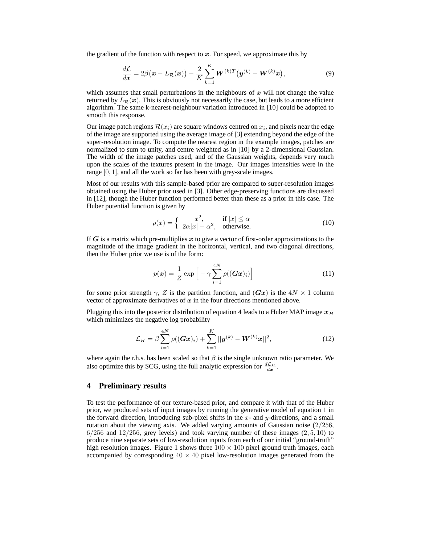the gradient of the function with respect to  $x$ . For speed, we approximate this by

$$
\frac{d\mathcal{L}}{dx} = 2\beta(\mathbf{x} - L_{\mathcal{R}}(\mathbf{x})) - \frac{2}{K} \sum_{k=1}^{K} \mathbf{W}^{(k)T} (\mathbf{y}^{(k)} - \mathbf{W}^{(k)} \mathbf{x}), \tag{9}
$$

which assumes that small perturbations in the neighbours of  $x$  will not change the value returned by  $L_{\mathcal{R}}(x)$ . This is obviously not necessarily the case, but leads to a more efficient algorithm. The same k-nearest-neighbour variation introduced in [10] could be adopted to smooth this response.

Our image patch regions  $\mathcal{R}(x_i)$  are square windows centred on  $x_i$ , and pixels near the edge of the image are supported using the average image of [3] extending beyond the edge of the super-resolution image. To compute the nearest region in the example images, patches are normalized to sum to unity, and centre weighted as in [10] by a 2-dimensional Gaussian. The width of the image patches used, and of the Gaussian weights, depends very much upon the scales of the textures present in the image. Our images intensities were in the range [0, 1], and all the work so far has been with grey-scale images.

Most of our results with this sample-based prior are compared to super-resolution images obtained using the Huber prior used in [3]. Other edge-preserving functions are discussed in [12], though the Huber function performed better than these as a prior in this case. The Huber potential function is given by

$$
\rho(x) = \begin{cases} x^2, & \text{if } |x| \le \alpha \\ 2\alpha |x| - \alpha^2, & \text{otherwise.} \end{cases}
$$
\n(10)

If G is a matrix which pre-multiplies x to give a vector of first-order approximations to the magnitude of the image gradient in the horizontal, vertical, and two diagonal directions, then the Huber prior we use is of the form:

$$
p(\boldsymbol{x}) = \frac{1}{Z} \exp\left[-\gamma \sum_{i=1}^{4N} \rho((\boldsymbol{G}\boldsymbol{x})_i)\right]
$$
 (11)

for some prior strength  $\gamma$ , Z is the partition function, and  $(Gx)$  is the  $4N \times 1$  column vector of approximate derivatives of  $x$  in the four directions mentioned above.

Plugging this into the posterior distribution of equation 4 leads to a Huber MAP image  $x_H$ which minimizes the negative log probability

$$
\mathcal{L}_H = \beta \sum_{i=1}^{4N} \rho((\mathbf{G}\mathbf{x})_i) + \sum_{k=1}^{K} ||\mathbf{y}^{(k)} - \mathbf{W}^{(k)}\mathbf{x}||^2, \tag{12}
$$

where again the r.h.s. has been scaled so that  $\beta$  is the single unknown ratio parameter. We also optimize this by SCG, using the full analytic expression for  $\frac{d\mathcal{L}_H}{dx}$ .

#### **4 Preliminary results**

To test the performance of our texture-based prior, and compare it with that of the Huber prior, we produced sets of input images by running the generative model of equation 1 in the forward direction, introducing sub-pixel shifts in the  $x$ - and  $y$ -directions, and a small rotation about the viewing axis. We added varying amounts of Gaussian noise  $(2/256,$  $6/256$  and  $12/256$ , grey levels) and took varying number of these images  $(2, 5, 10)$  to produce nine separate sets of low-resolution inputs from each of our initial "ground-truth" high resolution images. Figure 1 shows three  $100 \times 100$  pixel ground truth images, each accompanied by corresponding  $40 \times 40$  pixel low-resolution images generated from the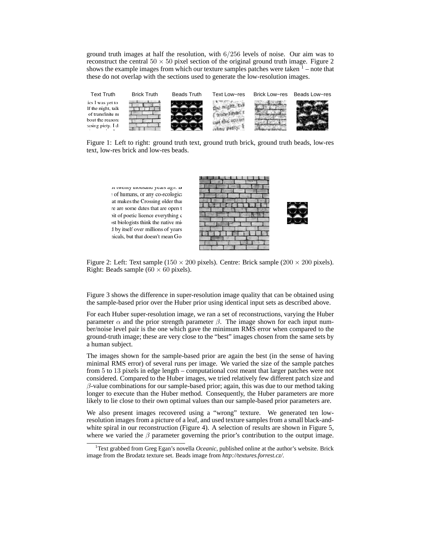ground truth images at half the resolution, with 6/256 levels of noise. Our aim was to reconstruct the central  $50 \times 50$  pixel section of the original ground truth image. Figure 2 shows the example images from which our texture samples patches were taken  $1$  – note that these do not overlap with the sections used to generate the low-resolution images.



Figure 1: Left to right: ground truth text, ground truth brick, ground truth beads, low-res text, low-res brick and low-res beads.



Figure 2: Left: Text sample (150  $\times$  200 pixels). Centre: Brick sample (200  $\times$  200 pixels). Right: Beads sample  $(60 \times 60 \text{ pixels})$ .

Figure 3 shows the difference in super-resolution image quality that can be obtained using the sample-based prior over the Huber prior using identical input sets as described above.

For each Huber super-resolution image, we ran a set of reconstructions, varying the Huber parameter  $\alpha$  and the prior strength parameter  $\beta$ . The image shown for each input number/noise level pair is the one which gave the minimum RMS error when compared to the ground-truth image; these are very close to the "best" images chosen from the same sets by a human subject.

The images shown for the sample-based prior are again the best (in the sense of having minimal RMS error) of several runs per image. We varied the size of the sample patches from 5 to 13 pixels in edge length – computational cost meant that larger patches were not considered. Compared to the Huber images, we tried relatively few different patch size and  $\beta$ -value combinations for our sample-based prior; again, this was due to our method taking longer to execute than the Huber method. Consequently, the Huber parameters are more likely to lie close to their own optimal values than our sample-based prior parameters are.

We also present images recovered using a "wrong" texture. We generated ten lowresolution images from a picture of a leaf, and used texture samples from a small black-andwhite spiral in our reconstruction (Figure 4). A selection of results are shown in Figure 5, where we varied the  $\beta$  parameter governing the prior's contribution to the output image.

<sup>&</sup>lt;sup>1</sup>Text grabbed from Greg Egan's novella *Oceanic*, published online at the author's website. Brick image from the Brodatz texture set. Beads image from *http://textures.forrest.cz/*.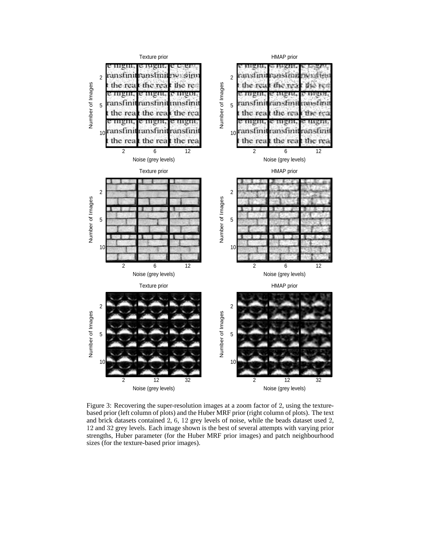

Figure 3: Recovering the super-resolution images at a zoom factor of 2, using the texturebased prior (left column of plots) and the Huber MRF prior (right column of plots). The text and brick datasets contained 2, 6, 12 grey levels of noise, while the beads dataset used 2, and 32 grey levels. Each image shown is the best of several attempts with varying prior strengths, Huber parameter (for the Huber MRF prior images) and patch neighbourhood sizes (for the texture-based prior images).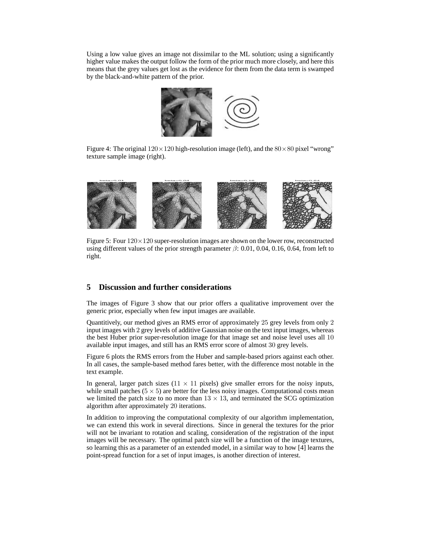Using a low value gives an image not dissimilar to the ML solution; using a significantly higher value makes the output follow the form of the prior much more closely, and here this means that the grey values get lost as the evidence for them from the data term is swamped by the black-and-white pattern of the prior.



Figure 4: The original  $120 \times 120$  high-resolution image (left), and the  $80 \times 80$  pixel "wrong" texture sample image (right).



Figure 5: Four  $120 \times 120$  super-resolution images are shown on the lower row, reconstructed using different values of the prior strength parameter  $\beta$ : 0.01, 0.04, 0.16, 0.64, from left to right.

## **5 Discussion and further considerations**

The images of Figure 3 show that our prior offers a qualitative improvement over the generic prior, especially when few input images are available.

Quantitively, our method gives an RMS error of approximately 25 grey levels from only 2 input images with 2 grey levels of additive Gaussian noise on the text input images, whereas the best Huber prior super-resolution image for that image set and noise level uses all 10 available input images, and still has an RMS error score of almost 30 grey levels.

Figure 6 plots the RMS errors from the Huber and sample-based priors against each other. In all cases, the sample-based method fares better, with the difference most notable in the text example.

In general, larger patch sizes ( $11 \times 11$  pixels) give smaller errors for the noisy inputs, while small patches ( $5 \times 5$ ) are better for the less noisy images. Computational costs mean we limited the patch size to no more than  $13 \times 13$ , and terminated the SCG optimization algorithm after approximately 20 iterations.

In addition to improving the computational complexity of our algorithm implementation, we can extend this work in several directions. Since in general the textures for the prior will not be invariant to rotation and scaling, consideration of the registration of the input images will be necessary. The optimal patch size will be a function of the image textures, so learning this as a parameter of an extended model, in a similar way to how [4] learns the point-spread function for a set of input images, is another direction of interest.